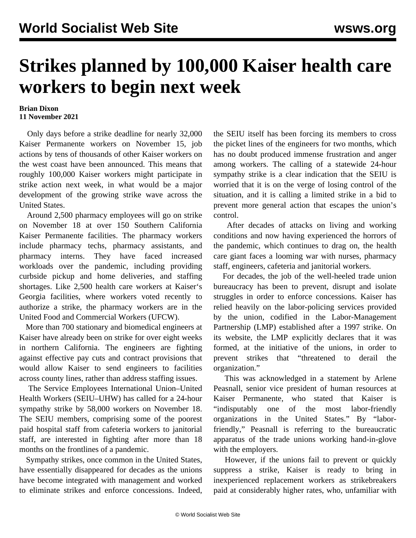## **Strikes planned by 100,000 Kaiser health care workers to begin next week**

## **Brian Dixon 11 November 2021**

 Only days before a strike deadline for nearly [32,000](/en/articles/2021/11/06/kais-n06.html) [Kaiser Permanente](/en/articles/2021/11/06/kais-n06.html) workers on November 15, job actions by tens of thousands of other Kaiser workers on the west coast have been announced. This means that roughly 100,000 Kaiser workers might participate in strike action next week, in what would be a major development of the growing strike wave across the United States.

 Around 2,500 pharmacy employees will go on strike on November 18 at over 150 Southern California Kaiser Permanente facilities. The pharmacy workers include pharmacy techs, pharmacy assistants, and pharmacy interns. They have faced increased workloads over the pandemic, including providing curbside pickup and home deliveries, and staffing shortages. Like 2,500 health care workers at [Kaiser's](/en/articles/2021/11/09/kais-n09.html) [Georgia facilities,](/en/articles/2021/11/09/kais-n09.html) where workers voted recently to authorize a strike, the pharmacy workers are in the United Food and Commercial Workers (UFCW).

 More than 700 stationary and biomedical engineers at Kaiser have already been on strike for over eight weeks in northern California. The engineers are fighting against effective pay cuts and contract provisions that would allow Kaiser to send engineers to facilities across county lines, rather than address staffing issues.

 The Service Employees International Union–United Health Workers (SEIU–UHW) has called for a 24-hour sympathy strike by 58,000 workers on November 18. The SEIU members, comprising some of the poorest paid hospital staff from cafeteria workers to janitorial staff, are interested in fighting after more than 18 months on the frontlines of a pandemic.

 Sympathy strikes, once common in the United States, have essentially disappeared for decades as the unions have become integrated with management and worked to eliminate strikes and enforce concessions. Indeed, the SEIU itself has been forcing its members to cross the picket lines of the engineers for two months, which has no doubt produced immense frustration and anger among workers. The calling of a statewide 24-hour sympathy strike is a clear indication that the SEIU is worried that it is on the verge of losing control of the situation, and it is calling a limited strike in a bid to prevent more general action that escapes the union's control.

 After decades of attacks on living and working conditions and now having experienced the horrors of the pandemic, which continues to drag on, the health care giant faces a looming war with nurses, pharmacy staff, engineers, cafeteria and janitorial workers.

 For decades, the job of the well-heeled trade union bureaucracy has been to prevent, disrupt and isolate struggles in order to enforce concessions. Kaiser has relied heavily on the labor-policing services provided by the union, codified in the Labor-Management Partnership (LMP) established after a 1997 strike. On its [website,](https://www.lmpartnership.org/about/how-partnership-works/history-lmp) the LMP explicitly declares that it was formed, at the initiative of the unions, in order to prevent strikes that "threatened to derail the organization."

 This was acknowledged in a statement by Arlene Peasnall, senior vice president of human resources at Kaiser Permanente, who stated that Kaiser is "indisputably one of the most labor-friendly organizations in the United States." By "laborfriendly," Peasnall is referring to the bureaucratic apparatus of the trade unions working hand-in-glove with the employers.

 However, if the unions fail to prevent or quickly suppress a strike, Kaiser is ready to bring in inexperienced replacement workers as strikebreakers paid at considerably higher rates, who, unfamiliar with